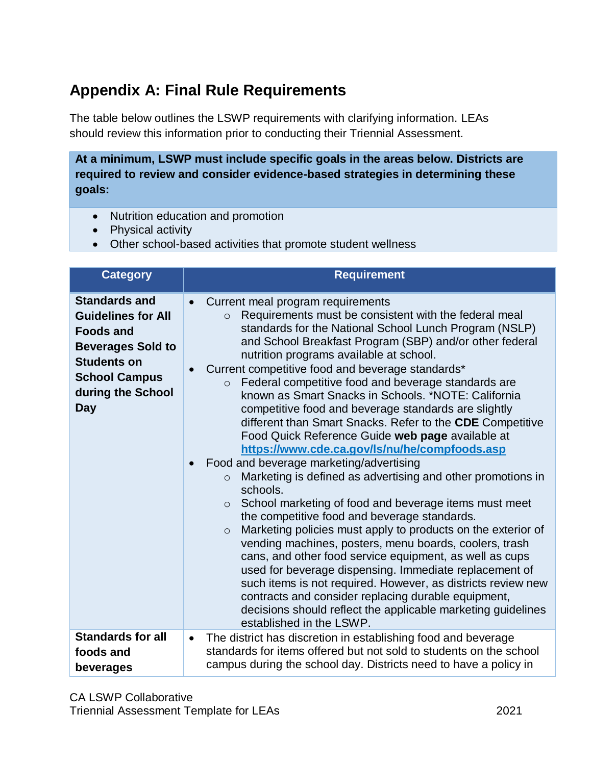## **Appendix A: Final Rule Requirements**

The table below outlines the LSWP requirements with clarifying information. LEAs should review this information prior to conducting their Triennial Assessment.

**At a minimum, LSWP must include specific goals in the areas below. Districts are required to review and consider evidence-based strategies in determining these goals:**

- Nutrition education and promotion
- Physical activity
- Other school-based activities that promote student wellness

| <b>Category</b>                                                                                                                                                                    | <b>Requirement</b>                                                                                                                                                                                                                                                                                                                                                                                                                                                                                                                                                                                                                                                                                                                                                                                                                                                                                                                                                                                                                                                                                                                                                                                                                                                                                                                                                                                             |
|------------------------------------------------------------------------------------------------------------------------------------------------------------------------------------|----------------------------------------------------------------------------------------------------------------------------------------------------------------------------------------------------------------------------------------------------------------------------------------------------------------------------------------------------------------------------------------------------------------------------------------------------------------------------------------------------------------------------------------------------------------------------------------------------------------------------------------------------------------------------------------------------------------------------------------------------------------------------------------------------------------------------------------------------------------------------------------------------------------------------------------------------------------------------------------------------------------------------------------------------------------------------------------------------------------------------------------------------------------------------------------------------------------------------------------------------------------------------------------------------------------------------------------------------------------------------------------------------------------|
| <b>Standards and</b><br><b>Guidelines for All</b><br><b>Foods and</b><br><b>Beverages Sold to</b><br><b>Students on</b><br><b>School Campus</b><br>during the School<br><b>Day</b> | Current meal program requirements<br>Requirements must be consistent with the federal meal<br>$\circ$<br>standards for the National School Lunch Program (NSLP)<br>and School Breakfast Program (SBP) and/or other federal<br>nutrition programs available at school.<br>Current competitive food and beverage standards*<br>Federal competitive food and beverage standards are<br>$\circ$<br>known as Smart Snacks in Schools, *NOTE: California<br>competitive food and beverage standards are slightly<br>different than Smart Snacks. Refer to the CDE Competitive<br>Food Quick Reference Guide web page available at<br>https://www.cde.ca.gov/ls/nu/he/compfoods.asp<br>Food and beverage marketing/advertising<br>Marketing is defined as advertising and other promotions in<br>$\circ$<br>schools.<br>School marketing of food and beverage items must meet<br>$\circ$<br>the competitive food and beverage standards.<br>Marketing policies must apply to products on the exterior of<br>$\circ$<br>vending machines, posters, menu boards, coolers, trash<br>cans, and other food service equipment, as well as cups<br>used for beverage dispensing. Immediate replacement of<br>such items is not required. However, as districts review new<br>contracts and consider replacing durable equipment,<br>decisions should reflect the applicable marketing guidelines<br>established in the LSWP. |
| <b>Standards for all</b><br>foods and<br>beverages                                                                                                                                 | The district has discretion in establishing food and beverage<br>$\bullet$<br>standards for items offered but not sold to students on the school<br>campus during the school day. Districts need to have a policy in                                                                                                                                                                                                                                                                                                                                                                                                                                                                                                                                                                                                                                                                                                                                                                                                                                                                                                                                                                                                                                                                                                                                                                                           |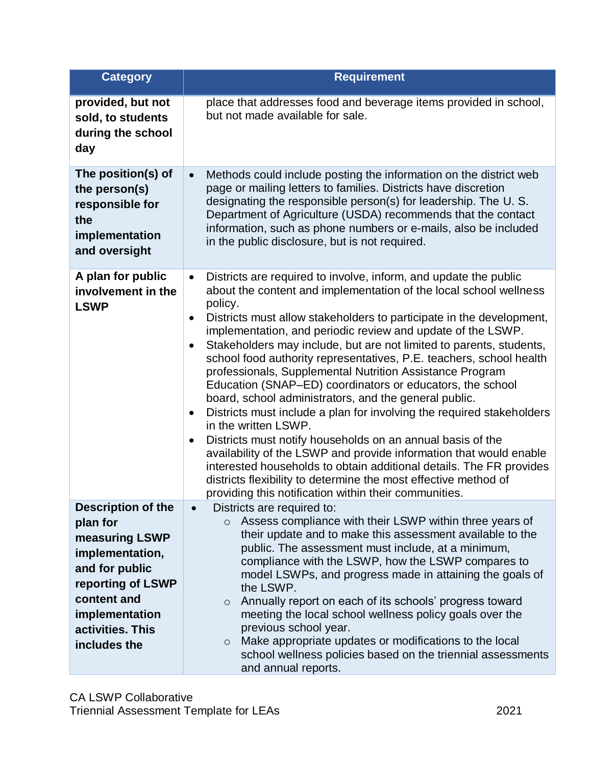| <b>Category</b>                                                                                                                                                                        | <b>Requirement</b>                                                                                                                                                                                                                                                                                                                                                                                                                                                                                                                                                                                                                                                                                                                                                                                                                                                                                                                                                                                                                                                                                     |
|----------------------------------------------------------------------------------------------------------------------------------------------------------------------------------------|--------------------------------------------------------------------------------------------------------------------------------------------------------------------------------------------------------------------------------------------------------------------------------------------------------------------------------------------------------------------------------------------------------------------------------------------------------------------------------------------------------------------------------------------------------------------------------------------------------------------------------------------------------------------------------------------------------------------------------------------------------------------------------------------------------------------------------------------------------------------------------------------------------------------------------------------------------------------------------------------------------------------------------------------------------------------------------------------------------|
| provided, but not<br>sold, to students<br>during the school<br>day                                                                                                                     | place that addresses food and beverage items provided in school,<br>but not made available for sale.                                                                                                                                                                                                                                                                                                                                                                                                                                                                                                                                                                                                                                                                                                                                                                                                                                                                                                                                                                                                   |
| The position(s) of<br>the person(s)<br>responsible for<br>the<br>implementation<br>and oversight                                                                                       | Methods could include posting the information on the district web<br>$\bullet$<br>page or mailing letters to families. Districts have discretion<br>designating the responsible person(s) for leadership. The U.S.<br>Department of Agriculture (USDA) recommends that the contact<br>information, such as phone numbers or e-mails, also be included<br>in the public disclosure, but is not required.                                                                                                                                                                                                                                                                                                                                                                                                                                                                                                                                                                                                                                                                                                |
| A plan for public<br>involvement in the<br><b>LSWP</b>                                                                                                                                 | Districts are required to involve, inform, and update the public<br>$\bullet$<br>about the content and implementation of the local school wellness<br>policy.<br>Districts must allow stakeholders to participate in the development,<br>$\bullet$<br>implementation, and periodic review and update of the LSWP.<br>Stakeholders may include, but are not limited to parents, students,<br>school food authority representatives, P.E. teachers, school health<br>professionals, Supplemental Nutrition Assistance Program<br>Education (SNAP-ED) coordinators or educators, the school<br>board, school administrators, and the general public.<br>Districts must include a plan for involving the required stakeholders<br>$\bullet$<br>in the written LSWP.<br>Districts must notify households on an annual basis of the<br>availability of the LSWP and provide information that would enable<br>interested households to obtain additional details. The FR provides<br>districts flexibility to determine the most effective method of<br>providing this notification within their communities. |
| <b>Description of the</b><br>plan for<br>measuring LSWP<br>implementation,<br>and for public<br>reporting of LSWP<br>content and<br>implementation<br>activities. This<br>includes the | Districts are required to:<br>Assess compliance with their LSWP within three years of<br>$\circ$<br>their update and to make this assessment available to the<br>public. The assessment must include, at a minimum,<br>compliance with the LSWP, how the LSWP compares to<br>model LSWPs, and progress made in attaining the goals of<br>the LSWP.<br>Annually report on each of its schools' progress toward<br>$\circ$<br>meeting the local school wellness policy goals over the<br>previous school year.<br>Make appropriate updates or modifications to the local<br>$\circ$<br>school wellness policies based on the triennial assessments<br>and annual reports.                                                                                                                                                                                                                                                                                                                                                                                                                                |

CA LSWP Collaborative Triennial Assessment Template for LEAs 2021